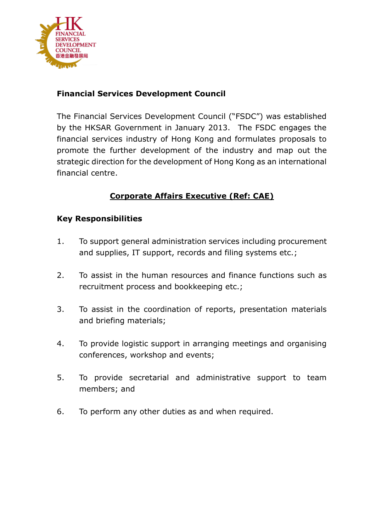

# **Financial Services Development Council**

The Financial Services Development Council ("FSDC") was established by the HKSAR Government in January 2013. The FSDC engages the financial services industry of Hong Kong and formulates proposals to promote the further development of the industry and map out the strategic direction for the development of Hong Kong as an international financial centre.

# **Corporate Affairs Executive (Ref: CAE)**

## **Key Responsibilities**

- 1. To support general administration services including procurement and supplies, IT support, records and filing systems etc.;
- 2. To assist in the human resources and finance functions such as recruitment process and bookkeeping etc.;
- 3. To assist in the coordination of reports, presentation materials and briefing materials;
- 4. To provide logistic support in arranging meetings and organising conferences, workshop and events;
- 5. To provide secretarial and administrative support to team members; and
- 6. To perform any other duties as and when required.